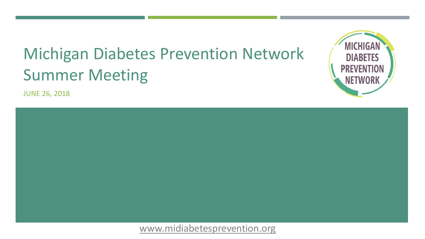# Michigan Diabetes Prevention Network Summer Meeting

JUNE 26, 2018



**MICHIGAN** 

**DIABETES** 

**PREVENTION** 

**NETWORI** 

[www.midiabetesprevention.org](http://www.midiabetesprevention.org/)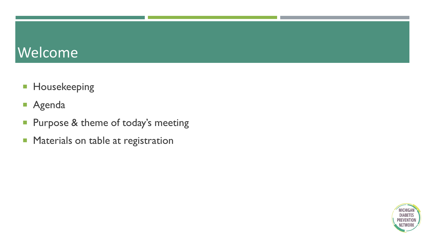### Welcome

- **Housekeeping**
- Agenda
- **Purpose & theme of today's meeting**
- **Materials on table at registration**

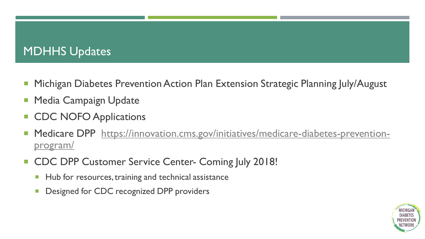#### **MDHHS Updates**

- Michigan Diabetes Prevention Action Plan Extension Strategic Planning July/August
- Media Campaign Update
- CDC NOFO Applications
- **Medicare DPP** https://innovation.cms.gov/initiatives/medicare-diabetes-preventionprogram/
- **CDC DPP Customer Service Center- Coming July 2018!** 
	- Hub for resources, training and technical assistance
	- **Designed for CDC recognized DPP providers**

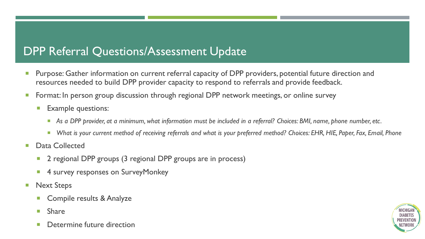#### DPP Referral Questions/Assessment Update

- **Purpose: Gather information on current referral capacity of DPP providers, potential future direction and** resources needed to build DPP provider capacity to respond to referrals and provide feedback.
- **Format: In person group discussion through regional DPP network meetings, or online survey** 
	- **Example questions:** 
		- *As a DPP provider, at a minimum, what information must be included in a referral? Choices: BMI, name, phone number, etc.*
		- What is your current method of receiving referrals and what is your preferred method? Choices: EHR, HIE, Paper, Fax, Email, Phone
- **Data Collected** 
	- **2** regional DPP groups (3 regional DPP groups are in process)
	- 4 survey responses on SurveyMonkey
- **Next Steps** 
	- **Compile results & Analyze**
	- **Share**
	- **Determine future direction**